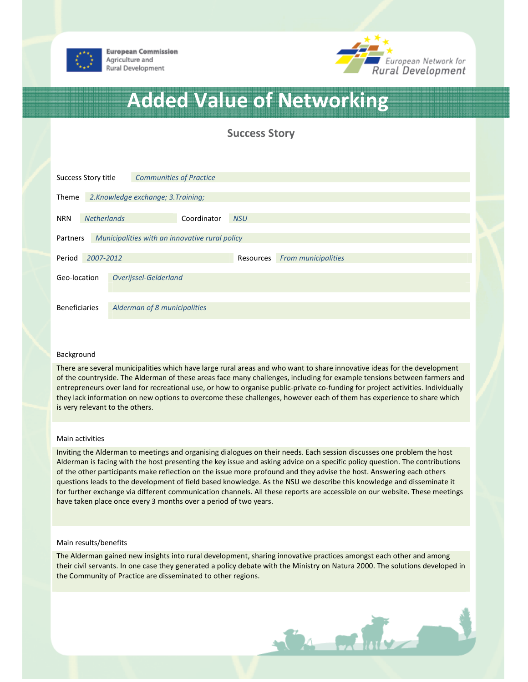



# Added Value of Networking

Success Story

| Success Story title                                        |                    |                                     | <b>Communities of Practice</b> |            |                            |  |  |  |  |
|------------------------------------------------------------|--------------------|-------------------------------------|--------------------------------|------------|----------------------------|--|--|--|--|
| Theme                                                      |                    | 2. Knowledge exchange; 3. Training; |                                |            |                            |  |  |  |  |
| <b>NRN</b>                                                 | <b>Netherlands</b> |                                     | Coordinator                    | <b>NSU</b> |                            |  |  |  |  |
| Municipalities with an innovative rural policy<br>Partners |                    |                                     |                                |            |                            |  |  |  |  |
| Period                                                     | 2007-2012          |                                     |                                |            | <b>From municipalities</b> |  |  |  |  |
| Overijssel-Gelderland<br>Geo-location                      |                    |                                     |                                |            |                            |  |  |  |  |
| <b>Beneficiaries</b>                                       |                    | Alderman of 8 municipalities        |                                |            |                            |  |  |  |  |

### Background

There are several municipalities which have large rural areas and who want to share innovative ideas for the development of the countryside. The Alderman of these areas face many challenges, including for example tensions between farmers and entrepreneurs over land for recreational use, or how to organise public-private co-funding for project activities. Individually they lack information on new options to overcome these challenges, however each of them has experience to share which is very relevant to the others.

#### Main activities

Inviting the Alderman to meetings and organising dialogues on their needs. Each session discusses one problem the host Alderman is facing with the host presenting the key issue and asking advice on a specific policy question. The contributions of the other participants make reflection on the issue more profound and they advise the host. Answering each others questions leads to the development of field based knowledge. As the NSU we describe this knowledge and disseminate it for further exchange via different communication channels. All these reports are accessible on our website. These meetings have taken place once every 3 months over a period of two years.

#### Main results/benefits

The Alderman gained new insights into rural development, sharing innovative practices amongst each other and among their civil servants. In one case they generated a policy debate with the Ministry on Natura 2000. The solutions developed in the Community of Practice are disseminated to other regions.